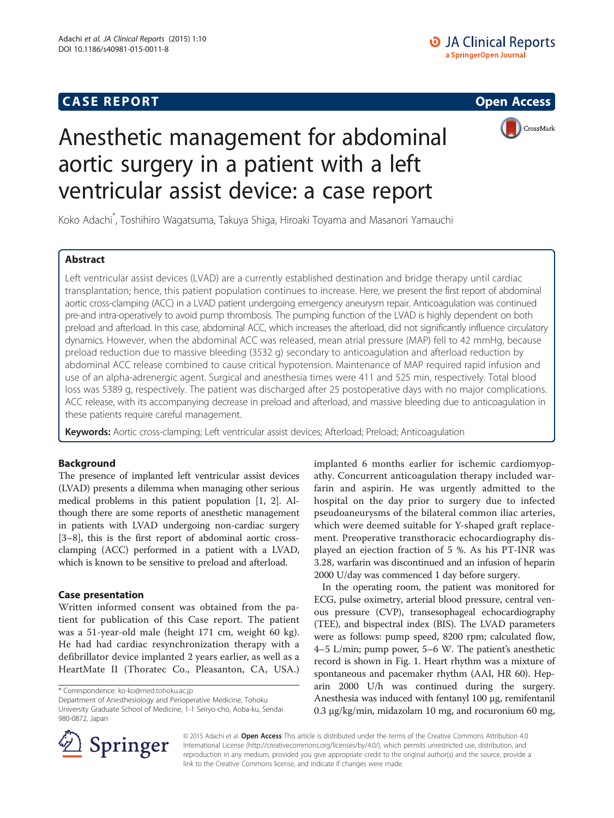# **CASE REPORT CASE REPORT CASE REPORT**



# Anesthetic management for abdominal aortic surgery in a patient with a left ventricular assist device: a case report

Koko Adachi\* , Toshihiro Wagatsuma, Takuya Shiga, Hiroaki Toyama and Masanori Yamauchi

### Abstract

Left ventricular assist devices (LVAD) are a currently established destination and bridge therapy until cardiac transplantation; hence, this patient population continues to increase. Here, we present the first report of abdominal aortic cross-clamping (ACC) in a LVAD patient undergoing emergency aneurysm repair. Anticoagulation was continued pre-and intra-operatively to avoid pump thrombosis. The pumping function of the LVAD is highly dependent on both preload and afterload. In this case, abdominal ACC, which increases the afterload, did not significantly influence circulatory dynamics. However, when the abdominal ACC was released, mean atrial pressure (MAP) fell to 42 mmHg, because preload reduction due to massive bleeding (3532 g) secondary to anticoagulation and afterload reduction by abdominal ACC release combined to cause critical hypotension. Maintenance of MAP required rapid infusion and use of an alpha-adrenergic agent. Surgical and anesthesia times were 411 and 525 min, respectively. Total blood loss was 5389 g, respectively. The patient was discharged after 25 postoperative days with no major complications. ACC release, with its accompanying decrease in preload and afterload, and massive bleeding due to anticoagulation in these patients require careful management.

Keywords: Aortic cross-clamping; Left ventricular assist devices; Afterload; Preload; Anticoagulation

#### Background

The presence of implanted left ventricular assist devices (LVAD) presents a dilemma when managing other serious medical problems in this patient population [\[1, 2\]](#page-2-0). Although there are some reports of anesthetic management in patients with LVAD undergoing non-cardiac surgery [[3](#page-2-0)–[8](#page-2-0)], this is the first report of abdominal aortic crossclamping (ACC) performed in a patient with a LVAD, which is known to be sensitive to preload and afterload.

#### Case presentation

Written informed consent was obtained from the patient for publication of this Case report. The patient was a 51-year-old male (height 171 cm, weight 60 kg). He had had cardiac resynchronization therapy with a defibrillator device implanted 2 years earlier, as well as a HeartMate II (Thoratec Co., Pleasanton, CA, USA.)

Department of Anesthesiology and Perioperative Medicine, Tohoku University Graduate School of Medicine, 1-1 Seiryo-cho, Aoba-ku, Sendai 980-0872, Japan

implanted 6 months earlier for ischemic cardiomyopathy. Concurrent anticoagulation therapy included warfarin and aspirin. He was urgently admitted to the hospital on the day prior to surgery due to infected pseudoaneurysms of the bilateral common iliac arteries, which were deemed suitable for Y-shaped graft replacement. Preoperative transthoracic echocardiography displayed an ejection fraction of 5 %. As his PT-INR was 3.28, warfarin was discontinued and an infusion of heparin 2000 U/day was commenced 1 day before surgery.

In the operating room, the patient was monitored for ECG, pulse oximetry, arterial blood pressure, central venous pressure (CVP), transesophageal echocardiography (TEE), and bispectral index (BIS). The LVAD parameters were as follows: pump speed, 8200 rpm; calculated flow, 4–5 L/min; pump power, 5–6 W. The patient's anesthetic record is shown in Fig. [1](#page-1-0). Heart rhythm was a mixture of spontaneous and pacemaker rhythm (AAI, HR 60). Heparin 2000 U/h was continued during the surgery. Anesthesia was induced with fentanyl 100 μg, remifentanil 0.3 μg/kg/min, midazolam 10 mg, and rocuronium 60 mg,



© 2015 Adachi et al. Open Access This article is distributed under the terms of the Creative Commons Attribution 4.0 International License ([http://creativecommons.org/licenses/by/4.0/\)](http://creativecommons.org/licenses/by/4.0/), which permits unrestricted use, distribution, and reproduction in any medium, provided you give appropriate credit to the original author(s) and the source, provide a link to the Creative Commons license, and indicate if changes were made.

<sup>\*</sup> Correspondence: [ko-ko@med.tohoku.ac.jp](mailto:ko-ko@med.tohoku.ac.jp)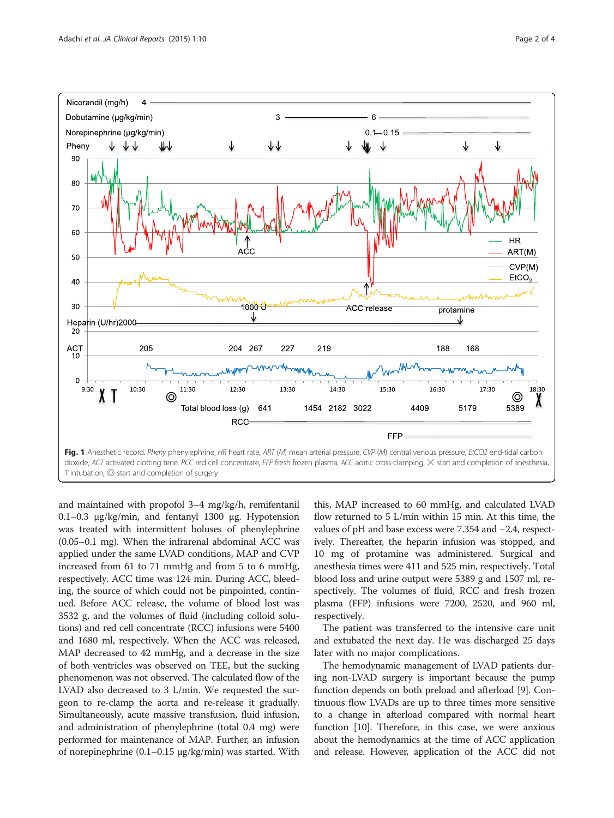<span id="page-1-0"></span>

and maintained with propofol 3–4 mg/kg/h, remifentanil 0.1–0.3 μg/kg/min, and fentanyl 1300 μg. Hypotension was treated with intermittent boluses of phenylephrine (0.05–0.1 mg). When the infrarenal abdominal ACC was applied under the same LVAD conditions, MAP and CVP increased from 61 to 71 mmHg and from 5 to 6 mmHg, respectively. ACC time was 124 min. During ACC, bleeding, the source of which could not be pinpointed, continued. Before ACC release, the volume of blood lost was 3532 g, and the volumes of fluid (including colloid solutions) and red cell concentrate (RCC) infusions were 5400 and 1680 ml, respectively. When the ACC was released, MAP decreased to 42 mmHg, and a decrease in the size of both ventricles was observed on TEE, but the sucking phenomenon was not observed. The calculated flow of the LVAD also decreased to 3 L/min. We requested the surgeon to re-clamp the aorta and re-release it gradually. Simultaneously, acute massive transfusion, fluid infusion, and administration of phenylephrine (total 0.4 mg) were performed for maintenance of MAP. Further, an infusion of norepinephrine (0.1–0.15 μg/kg/min) was started. With this, MAP increased to 60 mmHg, and calculated LVAD flow returned to 5 L/min within 15 min. At this time, the values of pH and base excess were 7.354 and −2.4, respectively. Thereafter, the heparin infusion was stopped, and 10 mg of protamine was administered. Surgical and anesthesia times were 411 and 525 min, respectively. Total blood loss and urine output were 5389 g and 1507 ml, respectively. The volumes of fluid, RCC and fresh frozen plasma (FFP) infusions were 7200, 2520, and 960 ml, respectively.

The patient was transferred to the intensive care unit and extubated the next day. He was discharged 25 days later with no major complications.

The hemodynamic management of LVAD patients during non-LVAD surgery is important because the pump function depends on both preload and afterload [\[9\]](#page-2-0). Continuous flow LVADs are up to three times more sensitive to a change in afterload compared with normal heart function [\[10\]](#page-2-0). Therefore, in this case, we were anxious about the hemodynamics at the time of ACC application and release. However, application of the ACC did not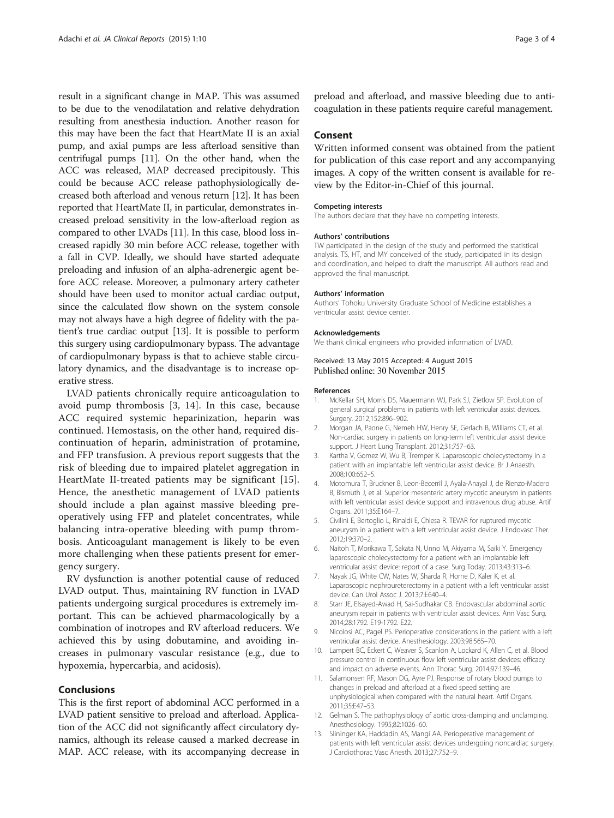<span id="page-2-0"></span>result in a significant change in MAP. This was assumed to be due to the venodilatation and relative dehydration resulting from anesthesia induction. Another reason for this may have been the fact that HeartMate II is an axial pump, and axial pumps are less afterload sensitive than centrifugal pumps [11]. On the other hand, when the ACC was released, MAP decreased precipitously. This could be because ACC release pathophysiologically decreased both afterload and venous return [12]. It has been reported that HeartMate II, in particular, demonstrates increased preload sensitivity in the low-afterload region as compared to other LVADs [11]. In this case, blood loss increased rapidly 30 min before ACC release, together with a fall in CVP. Ideally, we should have started adequate preloading and infusion of an alpha-adrenergic agent before ACC release. Moreover, a pulmonary artery catheter should have been used to monitor actual cardiac output, since the calculated flow shown on the system console may not always have a high degree of fidelity with the patient's true cardiac output [13]. It is possible to perform this surgery using cardiopulmonary bypass. The advantage of cardiopulmonary bypass is that to achieve stable circulatory dynamics, and the disadvantage is to increase operative stress.

LVAD patients chronically require anticoagulation to avoid pump thrombosis [3, [14\]](#page-3-0). In this case, because ACC required systemic heparinization, heparin was continued. Hemostasis, on the other hand, required discontinuation of heparin, administration of protamine, and FFP transfusion. A previous report suggests that the risk of bleeding due to impaired platelet aggregation in HeartMate II-treated patients may be significant [\[15](#page-3-0)]. Hence, the anesthetic management of LVAD patients should include a plan against massive bleeding preoperatively using FFP and platelet concentrates, while balancing intra-operative bleeding with pump thrombosis. Anticoagulant management is likely to be even more challenging when these patients present for emergency surgery.

RV dysfunction is another potential cause of reduced LVAD output. Thus, maintaining RV function in LVAD patients undergoing surgical procedures is extremely important. This can be achieved pharmacologically by a combination of inotropes and RV afterload reducers. We achieved this by using dobutamine, and avoiding increases in pulmonary vascular resistance (e.g., due to hypoxemia, hypercarbia, and acidosis).

#### Conclusions

This is the first report of abdominal ACC performed in a LVAD patient sensitive to preload and afterload. Application of the ACC did not significantly affect circulatory dynamics, although its release caused a marked decrease in MAP. ACC release, with its accompanying decrease in preload and afterload, and massive bleeding due to anticoagulation in these patients require careful management.

#### Consent

Written informed consent was obtained from the patient for publication of this case report and any accompanying images. A copy of the written consent is available for review by the Editor-in-Chief of this journal.

#### Competing interests

The authors declare that they have no competing interests.

#### Authors' contributions

TW participated in the design of the study and performed the statistical analysis. TS, HT, and MY conceived of the study, participated in its design and coordination, and helped to draft the manuscript. All authors read and approved the final manuscript.

#### Authors' information

Authors' Tohoku University Graduate School of Medicine establishes a ventricular assist device center.

#### Acknowledgements

We thank clinical engineers who provided information of LVAD.

# Received: 13 May 2015 Accepted: 4 August 2015<br>Published online: 30 November 2015

#### References

- 1. McKellar SH, Morris DS, Mauermann WJ, Park SJ, Zietlow SP. Evolution of general surgical problems in patients with left ventricular assist devices. Surgery. 2012;152:896–902.
- 2. Morgan JA, Paone G, Nemeh HW, Henry SE, Gerlach B, Williams CT, et al. Non-cardiac surgery in patients on long-term left ventricular assist device support. J Heart Lung Transplant. 2012;31:757–63.
- 3. Kartha V, Gomez W, Wu B, Tremper K. Laparoscopic cholecystectomy in a patient with an implantable left ventricular assist device. Br J Anaesth. 2008;100:652–5.
- 4. Motomura T, Bruckner B, Leon-Becerril J, Ayala-Anayal J, de Rienzo-Madero B, Bismuth J, et al. Superior mesenteric artery mycotic aneurysm in patients with left ventricular assist device support and intravenous drug abuse. Artif Organs. 2011;35:E164–7.
- 5. Civilini E, Bertoglio L, Rinaldi E, Chiesa R. TEVAR for ruptured mycotic aneurysm in a patient with a left ventricular assist device. J Endovasc Ther. 2012;19:370–2.
- 6. Naitoh T, Morikawa T, Sakata N, Unno M, Akiyama M, Saiki Y. Emergency laparoscopic cholecystectomy for a patient with an implantable left ventricular assist device: report of a case. Surg Today. 2013;43:313–6.
- 7. Nayak JG, White CW, Nates W, Sharda R, Horne D, Kaler K, et al. Laparoscopic nephroureterectomy in a patient with a left ventricular assist device. Can Urol Assoc J. 2013;7:E640–4.
- Starr JE, Elsayed-Awad H, Sai-Sudhakar CB. Endovascular abdominal aortic aneurysm repair in patients with ventricular assist devices. Ann Vasc Surg. 2014;28:1792. E19-1792. E22.
- 9. Nicolosi AC, Pagel PS. Perioperative considerations in the patient with a left ventricular assist device. Anesthesiology. 2003;98:565–70.
- 10. Lampert BC, Eckert C, Weaver S, Scanlon A, Lockard K, Allen C, et al. Blood pressure control in continuous flow left ventricular assist devices: efficacy and impact on adverse events. Ann Thorac Surg. 2014;97:139–46.
- 11. Salamonsen RF, Mason DG, Ayre PJ. Response of rotary blood pumps to changes in preload and afterload at a fixed speed setting are unphysiological when compared with the natural heart. Artif Organs. 2011;35:E47–53.
- 12. Gelman S. The pathophysiology of aortic cross-clamping and unclamping. Anesthesiology. 1995;82:1026–60.
- 13. Slininger KA, Haddadin AS, Mangi AA. Perioperative management of patients with left ventricular assist devices undergoing noncardiac surgery. J Cardiothorac Vasc Anesth. 2013;27:752–9.